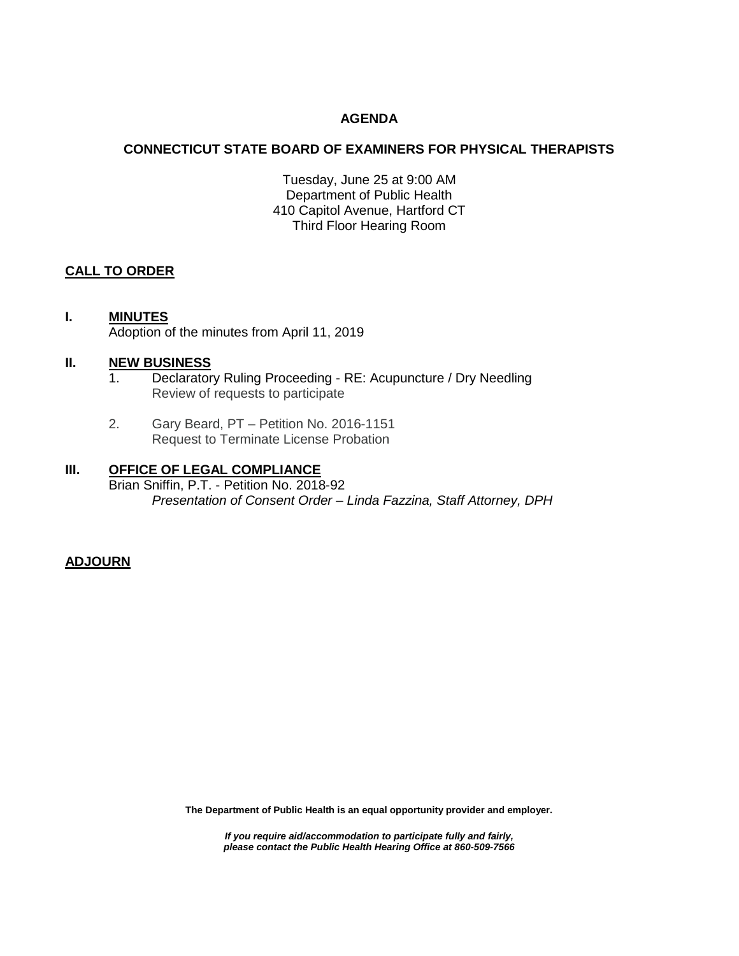## **AGENDA**

## **CONNECTICUT STATE BOARD OF EXAMINERS FOR PHYSICAL THERAPISTS**

Tuesday, June 25 at 9:00 AM Department of Public Health 410 Capitol Avenue, Hartford CT Third Floor Hearing Room

## **CALL TO ORDER**

# **I. MINUTES** Adoption of the minutes from April 11, 2019

#### **II. NEW BUSINESS**

- 1. Declaratory Ruling Proceeding RE: Acupuncture / Dry Needling Review of requests to participate
- 2. Gary Beard, PT Petition No. 2016-1151 Request to Terminate License Probation

## **III. OFFICE OF LEGAL COMPLIANCE**

Brian Sniffin, P.T. - Petition No. 2018-92 *Presentation of Consent Order – Linda Fazzina, Staff Attorney, DPH*

**ADJOURN**

**The Department of Public Health is an equal opportunity provider and employer.**

*If you require aid/accommodation to participate fully and fairly, please contact the Public Health Hearing Office at 860-509-7566*